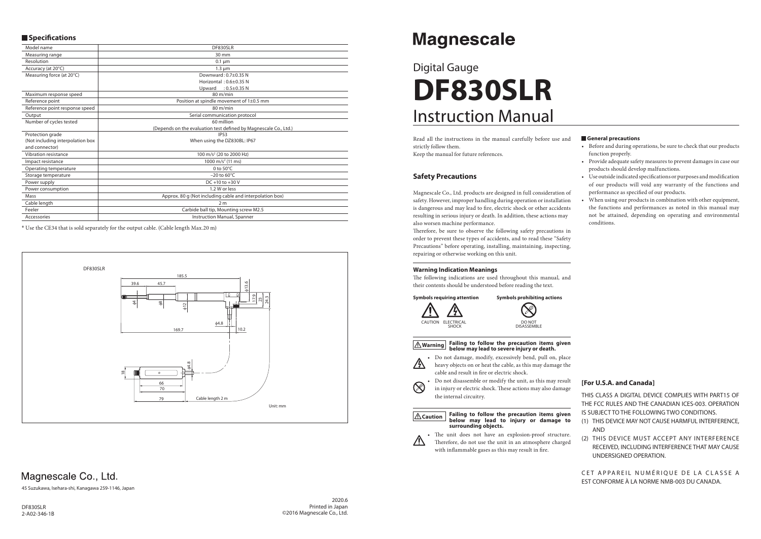# Instruction Manual Digital Gauge **DF830SLR**

#### **General precautions**

- Before and during operations, be sure to check that our products function properly.
- Provide adequate safety measures to prevent damages in case our products should develop malfunctions.
- Use outside indicated specifications or purposes and modification of our products will void any warranty of the functions and performance as specified of our products.
- When using our products in combination with other equipment, the functions and performances as noted in this manual may not be attained, depending on operating and environmental conditions.

Therefore, be sure to observe the following safety precautions in order to prevent these types of accidents, and to read these "Safety Precautions" before operating, installing, maintaining, inspecting, repairing or otherwise working on this unit.

Read all the instructions in the manual carefully before use and strictly follow them. Keep the manual for future references.

The following indications are used throughout this manual, and their contents should be understood before reading the text.

## **Safety Precautions**

• Do not damage, modify, excessively bend, pull on, place heavy objects on or heat the cable, as this may damage the cable and result in fire or electric shock.

Magnescale Co., Ltd. products are designed in full consideration of safety. However, improper handling during operation or installation is dangerous and may lead to fire, electric shock or other accidents resulting in serious injury or death. In addition, these actions may also worsen machine performance.

## **Warning Indication Meanings**

CET APPAREIL NUMÉRIQUE DE LA CLASSE A EST CONFORME À LA NORME NMB-003 DU CANADA.



#### **Warning Failing to follow the precaution items given below may lead to severe injury or death.**



 $\otimes$ 

• Do not disassemble or modify the unit, as this may result in injury or electric shock. These actions may also damage the internal circuitry.

#### **Caution Failing to follow the precaution items given below may lead to injury or damage to surrounding objects.**



• The unit does not have an explosion-proof structure. Therefore, do not use the unit in an atmosphere charged with inflammable gases as this may result in fire.

## **Magnescale**

## **[For U.S.A. and Canada]**

THIS CLASS A DIGITAL DEVICE COMPLIES WITH PART15 OF THE FCC RULES AND THE CANADIAN ICES-003. OPERATION IS SUBJECT TO THE FOLLOWING TWO CONDITIONS.

- (1) THIS DEVICE MAY NOT CAUSE HARMFUL INTERFERENCE, AND
- (2) THIS DEVICE MUST ACCEPT ANY INTERFERENCE RECEIVED, INCLUDING INTERFERENCE THAT MAY CAUSE UNDERSIGNED OPERATION.

45 Suzukawa, Isehara-shi, Kanagawa 259-1146, Japan

## $\blacksquare$  Specifications

| Model name                       | DF830SLR                                                         |
|----------------------------------|------------------------------------------------------------------|
| Measuring range                  | $30 \text{ mm}$                                                  |
| Resolution                       | $0.1 \mu m$                                                      |
| Accuracy (at 20°C)               | $1.3 \mu m$                                                      |
| Measuring force (at 20°C)        | Downward: 0.7±0.35 N                                             |
|                                  | Horizontal: 0.6±0.35 N                                           |
|                                  | Upward : $0.5\pm0.35$ N                                          |
| Maximum response speed           | $80 \text{ m/min}$                                               |
| Reference point                  | Position at spindle movement of 1±0.5 mm                         |
| Reference point response speed   | $80 \text{ m/min}$                                               |
| Output                           | Serial communication protocol                                    |
| Number of cycles tested          | 60 million                                                       |
|                                  | (Depends on the evaluation test defined by Magnescale Co., Ltd.) |
| Protection grade                 | <b>IP53</b>                                                      |
| (Not including interpolation box | When using the DZ830BL: IP67                                     |
| and connector)                   |                                                                  |
| Vibration resistance             | 100 m/s <sup>2</sup> (20 to 2000 Hz)                             |
| Impact resistance                | 1000 m/s <sup>2</sup> (11 ms)                                    |
| Operating temperature            | 0 to $50^{\circ}$ C                                              |
| Storage temperature              | $-20$ to 60 $\degree$ C                                          |
| Power supply                     | DC +10 to +30 V                                                  |
| Power consumption                | 1.2 W or less                                                    |
| Mass                             | Approx. 80 g (Not including cable and interpolation box)         |
| Cable length                     | 2 <sub>m</sub>                                                   |
| Feeler                           | Carbide ball tip, Mounting screw M2.5                            |
| Accessories                      | Instruction Manual, Spanner                                      |

\* Use the CE34 that is sold separately for the output cable. (Cable length Max.20 m)



## Magnescale Co., Ltd.